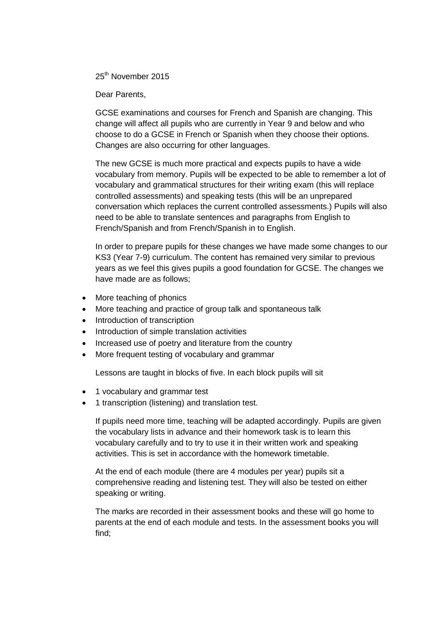25<sup>th</sup> November 2015

Dear Parents,

GCSE examinations and courses for French and Spanish are changing. This change will affect all pupils who are currently in Year 9 and below and who choose to do a GCSE in French or Spanish when they choose their options. Changes are also occurring for other languages.

The new GCSE is much more practical and expects pupils to have a wide vocabulary from memory. Pupils will be expected to be able to remember a lot of vocabulary and grammatical structures for their writing exam (this will replace controlled assessments) and speaking tests (this will be an unprepared conversation which replaces the current controlled assessments.) Pupils will also need to be able to translate sentences and paragraphs from English to French/Spanish and from French/Spanish in to English.

In order to prepare pupils for these changes we have made some changes to our KS3 (Year 7-9) curriculum. The content has remained very similar to previous years as we feel this gives pupils a good foundation for GCSE. The changes we have made are as follows;

- More teaching of phonics
- More teaching and practice of group talk and spontaneous talk
- Introduction of transcription
- Introduction of simple translation activities
- Increased use of poetry and literature from the country
- More frequent testing of vocabulary and grammar

Lessons are taught in blocks of five. In each block pupils will sit

- 1 vocabulary and grammar test
- 1 transcription (listening) and translation test.

If pupils need more time, teaching will be adapted accordingly. Pupils are given the vocabulary lists in advance and their homework task is to learn this vocabulary carefully and to try to use it in their written work and speaking activities. This is set in accordance with the homework timetable.

At the end of each module (there are 4 modules per year) pupils sit a comprehensive reading and listening test. They will also be tested on either speaking or writing.

The marks are recorded in their assessment books and these will go home to parents at the end of each module and tests. In the assessment books you will find;